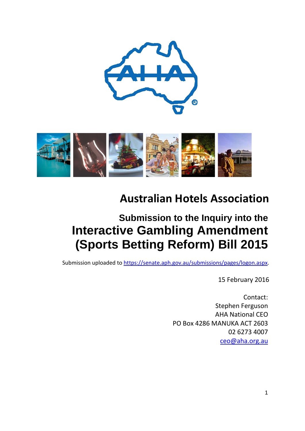



# **Australian Hotels Association**

# **Submission to the Inquiry into the Interactive Gambling Amendment (Sports Betting Reform) Bill 2015**

Submission uploaded to [https://senate.aph.gov.au/submissions/pages/logon.aspx.](https://senate.aph.gov.au/submissions/pages/logon.aspx)

15 February 2016

Contact: Stephen Ferguson AHA National CEO PO Box 4286 MANUKA ACT 2603 02 6273 4007 [ceo@aha.org.au](mailto:ceo@aha.org.au)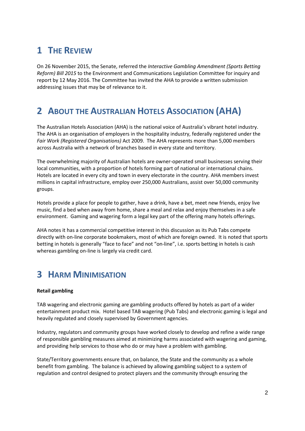## **1 THE REVIEW**

On 26 November 2015, the Senate, referred the *Interactive Gambling Amendment (Sports Betting Reform) Bill 2015* to the Environment and Communications Legislation Committee for inquiry and report by 12 May 2016. The Committee has invited the AHA to provide a written submission addressing issues that may be of relevance to it.

## **2 ABOUT THE AUSTRALIAN HOTELS ASSOCIATION (AHA)**

The Australian Hotels Association (AHA) is the national voice of Australia's vibrant hotel industry. The AHA is an organisation of employers in the hospitality industry, federally registered under the *Fair Work (Registered Organisations)* Act 2009. The AHA represents more than 5,000 members across Australia with a network of branches based in every state and territory.

The overwhelming majority of Australian hotels are owner-operated small businesses serving their local communities, with a proportion of hotels forming part of national or international chains. Hotels are located in every city and town in every electorate in the country. AHA members invest millions in capital infrastructure, employ over 250,000 Australians, assist over 50,000 community groups.

Hotels provide a place for people to gather, have a drink, have a bet, meet new friends, enjoy live music, find a bed when away from home, share a meal and relax and enjoy themselves in a safe environment. Gaming and wagering form a legal key part of the offering many hotels offerings.

AHA notes it has a commercial competitive interest in this discussion as its Pub Tabs compete directly with on-line corporate bookmakers, most of which are foreign owned. It is noted that sports betting in hotels is generally "face to face" and not "on-line", i.e. sports betting in hotels is cash whereas gambling on-line is largely via credit card.

### **3 HARM MINIMISATION**

#### **Retail gambling**

TAB wagering and electronic gaming are gambling products offered by hotels as part of a wider entertainment product mix. Hotel based TAB wagering (Pub Tabs) and electronic gaming is legal and heavily regulated and closely supervised by Government agencies.

Industry, regulators and community groups have worked closely to develop and refine a wide range of responsible gambling measures aimed at minimizing harms associated with wagering and gaming, and providing help services to those who do or may have a problem with gambling.

State/Territory governments ensure that, on balance, the State and the community as a whole benefit from gambling. The balance is achieved by allowing gambling subject to a system of regulation and control designed to protect players and the community through ensuring the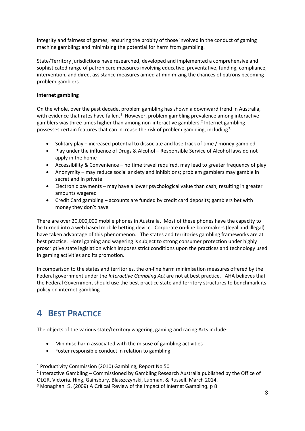integrity and fairness of games; ensuring the probity of those involved in the conduct of gaming machine gambling; and minimising the potential for harm from gambling.

State/Territory jurisdictions have researched, developed and implemented a comprehensive and sophisticated range of patron care measures involving educative, preventative, funding, compliance, intervention, and direct assistance measures aimed at minimizing the chances of patrons becoming problem gamblers.

#### **Internet gambling**

On the whole, over the past decade, problem gambling has shown a downward trend in Australia, with evidence that rates have fallen.<sup>[1](#page-2-0)</sup> However, problem gambling prevalence among interactive gamblers was three times higher than among non-interactive gamblers. [2](#page-2-1) Internet gambling possesses certain features that can increase the risk of problem gambling, including<sup>[3](#page-2-2)</sup>:

- Solitary play increased potential to dissociate and lose track of time / money gambled
- Play under the influence of Drugs & Alcohol Responsible Service of Alcohol laws do not apply in the home
- Accessibility & Convenience no time travel required, may lead to greater frequency of play
- Anonymity may reduce social anxiety and inhibitions; problem gamblers may gamble in secret and in private
- Electronic payments may have a lower psychological value than cash, resulting in greater amounts wagered
- Credit Card gambling accounts are funded by credit card deposits; gamblers bet with money they don't have

There are over 20,000,000 mobile phones in Australia. Most of these phones have the capacity to be turned into a web based mobile betting device. Corporate on-line bookmakers (legal and illegal) have taken advantage of this phenomenon. The states and territories gambling frameworks are at best practice. Hotel gaming and wagering is subject to strong consumer protection under highly proscriptive state legislation which imposes strict conditions upon the practices and technology used in gaming activities and its promotion.

In comparison to the states and territories, the on-line harm minimisation measures offered by the Federal government under the *Interactive Gambling Act* are not at best practice. AHA believes that the Federal Government should use the best practice state and territory structures to benchmark its policy on internet gambling.

### **4 BEST PRACTICE**

The objects of the various state/territory wagering, gaming and racing Acts include:

- Minimise harm associated with the misuse of gambling activities
- Foster responsible conduct in relation to gambling

<span id="page-2-0"></span> <sup>1</sup> Productivity Commission (2010) Gambling, Report No 50

<span id="page-2-1"></span> $2$  Interactive Gambling – Commissioned by Gambling Research Australia published by the Office of OLGR, Victoria. Hing, Gainsbury, Blasszczynski, Lubman, & Russell. March 2014.

<span id="page-2-2"></span><sup>3</sup> Monaghan, S. (2009) A Critical Review of the Impact of Internet Gambling, p 8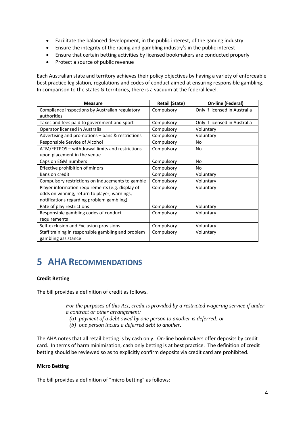- Facilitate the balanced development, in the public interest, of the gaming industry
- Ensure the integrity of the racing and gambling industry's in the public interest
- Ensure that certain betting activities by licensed bookmakers are conducted properly
- Protect a source of public revenue

Each Australian state and territory achieves their policy objectives by having a variety of enforceable best practice legislation, regulations and codes of conduct aimed at ensuring responsible gambling. In comparison to the states & territories, there is a vacuum at the federal level.

| <b>Measure</b>                                     | <b>Retail (State)</b> | <b>On-line (Federal)</b>      |
|----------------------------------------------------|-----------------------|-------------------------------|
| Compliance inspections by Australian regulatory    | Compulsory            | Only if licensed in Australia |
| authorities                                        |                       |                               |
| Taxes and fees paid to government and sport        | Compulsory            | Only if licensed in Australia |
| Operator licensed in Australia                     | Compulsory            | Voluntary                     |
| Advertising and promotions - bans & restrictions   | Compulsory            | Voluntary                     |
| Responsible Service of Alcohol                     | Compulsory            | No                            |
| ATM/EFTPOS - withdrawal limits and restrictions    | Compulsory            | No                            |
| upon placement in the venue                        |                       |                               |
| Caps on EGM numbers                                | Compulsory            | No                            |
| Effective prohibition of minors                    | Compulsory            | <b>No</b>                     |
| Bans on credit                                     | Compulsory            | Voluntary                     |
| Compulsory restrictions on inducements to gamble   | Compulsory            | Voluntary                     |
| Player information requirements (e.g. display of   | Compulsory            | Voluntary                     |
| odds on winning, return to player, warnings,       |                       |                               |
| notifications regarding problem gambling)          |                       |                               |
| Rate of play restrictions                          | Compulsory            | Voluntary                     |
| Responsible gambling codes of conduct              | Compulsory            | Voluntary                     |
| requirements                                       |                       |                               |
| Self-exclusion and Exclusion provisions            | Compulsory            | Voluntary                     |
| Staff training in responsible gambling and problem | Compulsory            | Voluntary                     |
| gambling assistance                                |                       |                               |

## **5 AHA RECOMMENDATIONS**

#### **Credit Betting**

The bill provides a definition of credit as follows.

*For the purposes of this Act, credit is provided by a restricted wagering service if under a contract or other arrangement:*

- *(a) payment of a debt owed by one person to another is deferred; or*
- *(b) one person incurs a deferred debt to another.*

The AHA notes that all retail betting is by cash only. On-line bookmakers offer deposits by credit card. In terms of harm minimisation, cash only betting is at best practice. The definition of credit betting should be reviewed so as to explicitly confirm deposits via credit card are prohibited.

#### **Micro Betting**

The bill provides a definition of "micro betting" as follows: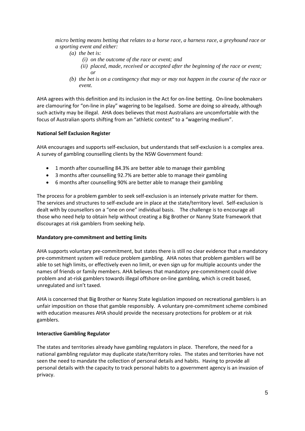*micro betting means betting that relates to a horse race, a harness race, a greyhound race or a sporting event and either:*

- *(a) the bet is:*
	- *(i) on the outcome of the race or event; and*
	- *(ii) placed, made, received or accepted after the beginning of the race or event; or*
- *(b) the bet is on a contingency that may or may not happen in the course of the race or event.*

AHA agrees with this definition and its inclusion in the Act for on-line betting. On-line bookmakers are clamouring for "on-line in play" wagering to be legalised. Some are doing so already, although such activity may be illegal. AHA does believes that most Australians are uncomfortable with the focus of Australian sports shifting from an "athletic contest" to a "wagering medium".

#### **National Self Exclusion Register**

AHA encourages and supports self-exclusion, but understands that self-exclusion is a complex area. A survey of gambling counselling clients by the NSW Government found:

- 1 month after counselling 84.3% are better able to manage their gambling
- 3 months after counselling 92.7% are better able to manage their gambling
- 6 months after counselling 90% are better able to manage their gambling

The process for a problem gambler to seek self-exclusion is an intensely private matter for them. The services and structures to self-exclude are in place at the state/territory level. Self-exclusion is dealt with by counsellors on a "one on one" individual basis. The challenge is to encourage all those who need help to obtain help without creating a Big Brother or Nanny State framework that discourages at risk gamblers from seeking help.

#### **Mandatory pre-commitment and betting limits**

AHA supports voluntary pre-commitment, but states there is still no clear evidence that a mandatory pre-commitment system will reduce problem gambling. AHA notes that problem gamblers will be able to set high limits, or effectively even no limit, or even sign up for multiple accounts under the names of friends or family members. AHA believes that mandatory pre-commitment could drive problem and at-risk gamblers towards illegal offshore on-line gambling, which is credit based, unregulated and isn't taxed.

AHA is concerned that Big Brother or Nanny State legislation imposed on recreational gamblers is an unfair imposition on those that gamble responsibly. A voluntary pre-commitment scheme combined with education measures AHA should provide the necessary protections for problem or at risk gamblers.

#### **Interactive Gambling Regulator**

The states and territories already have gambling regulators in place. Therefore, the need for a national gambling regulator may duplicate state/territory roles. The states and territories have not seen the need to mandate the collection of personal details and habits. Having to provide all personal details with the capacity to track personal habits to a government agency is an invasion of privacy.